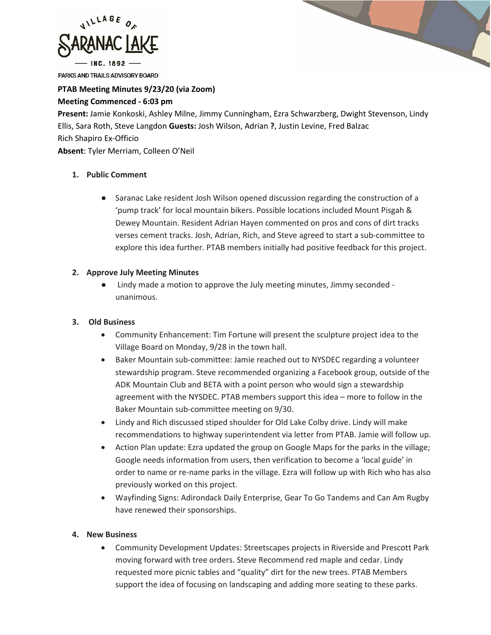

PARKS AND TRAILS ADVISORY BOARD

## **PTAB Meeting Minutes 9/23/20 (via Zoom)**

#### **Meeting Commenced - 6:03 pm**

**Present:** Jamie Konkoski, Ashley Milne, Jimmy Cunningham, Ezra Schwarzberg, Dwight Stevenson, Lindy Ellis, Sara Roth, Steve Langdon **Guests:** Josh Wilson, Adrian **?**, Justin Levine, Fred Balzac Rich Shapiro Ex-Officio **Absent**: Tyler Merriam, Colleen O'Neil

### **1. Public Comment**

● Saranac Lake resident Josh Wilson opened discussion regarding the construction of a 'pump track' for local mountain bikers. Possible locations included Mount Pisgah & Dewey Mountain. Resident Adrian Hayen commented on pros and cons of dirt tracks verses cement tracks. Josh, Adrian, Rich, and Steve agreed to start a sub-committee to explore this idea further. PTAB members initially had positive feedback for this project.

### **2. Approve July Meeting Minutes**

● Lindy made a motion to approve the July meeting minutes, Jimmy seconded unanimous.

# **3. Old Business**

- Community Enhancement: Tim Fortune will present the sculpture project idea to the Village Board on Monday, 9/28 in the town hall.
- Baker Mountain sub-committee: Jamie reached out to NYSDEC regarding a volunteer stewardship program. Steve recommended organizing a Facebook group, outside of the ADK Mountain Club and BETA with a point person who would sign a stewardship agreement with the NYSDEC. PTAB members support this idea – more to follow in the Baker Mountain sub-committee meeting on 9/30.
- Lindy and Rich discussed stiped shoulder for Old Lake Colby drive. Lindy will make recommendations to highway superintendent via letter from PTAB. Jamie will follow up.
- Action Plan update: Ezra updated the group on Google Maps for the parks in the village; Google needs information from users, then verification to become a 'local guide' in order to name or re-name parks in the village. Ezra will follow up with Rich who has also previously worked on this project.
- Wayfinding Signs: Adirondack Daily Enterprise, Gear To Go Tandems and Can Am Rugby have renewed their sponsorships.

### **4. New Business**

• Community Development Updates: Streetscapes projects in Riverside and Prescott Park moving forward with tree orders. Steve Recommend red maple and cedar. Lindy requested more picnic tables and "quality" dirt for the new trees. PTAB Members support the idea of focusing on landscaping and adding more seating to these parks.